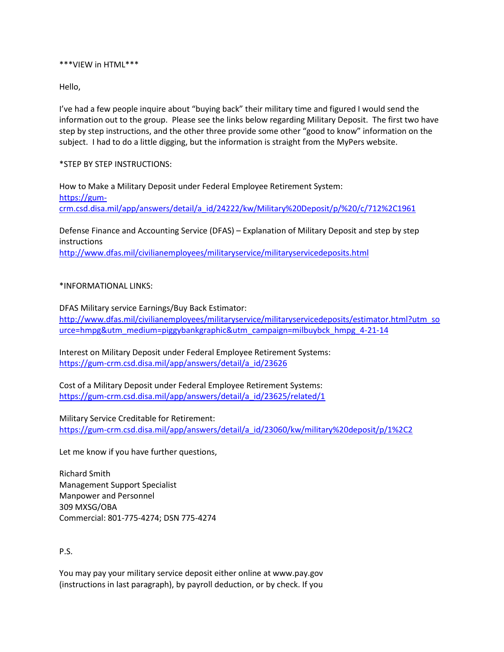\*\*\*VIEW in HTML\*\*\*

Hello,

I've had a few people inquire about "buying back" their military time and figured I would send the information out to the group. Please see the links below regarding Military Deposit. The first two have step by step instructions, and the other three provide some other "good to know" information on the subject. I had to do a little digging, but the information is straight from the MyPers website.

\*STEP BY STEP INSTRUCTIONS:

How to Make a Military Deposit under Federal Employee Retirement System: [https://gum](https://gum-crm.csd.disa.mil/app/answers/detail/a_id/24222/kw/Military%20Deposit/p/%20/c/712%2C1961)[crm.csd.disa.mil/app/answers/detail/a\\_id/24222/kw/Military%20Deposit/p/%20/c/712%2C1961](https://gum-crm.csd.disa.mil/app/answers/detail/a_id/24222/kw/Military%20Deposit/p/%20/c/712%2C1961)

Defense Finance and Accounting Service (DFAS) – Explanation of Military Deposit and step by step instructions

<http://www.dfas.mil/civilianemployees/militaryservice/militaryservicedeposits.html>

## \*INFORMATIONAL LINKS:

DFAS Military service Earnings/Buy Back Estimator: [http://www.dfas.mil/civilianemployees/militaryservice/militaryservicedeposits/estimator.html?utm\\_so](http://www.dfas.mil/civilianemployees/militaryservice/militaryservicedeposits/estimator.html?utm_source=hmpg&utm_medium=piggybankgraphic&utm_campaign=milbuybck_hmpg_4-21-14) [urce=hmpg&utm\\_medium=piggybankgraphic&utm\\_campaign=milbuybck\\_hmpg\\_4-21-14](http://www.dfas.mil/civilianemployees/militaryservice/militaryservicedeposits/estimator.html?utm_source=hmpg&utm_medium=piggybankgraphic&utm_campaign=milbuybck_hmpg_4-21-14)

Interest on Military Deposit under Federal Employee Retirement Systems: [https://gum-crm.csd.disa.mil/app/answers/detail/a\\_id/23626](https://gum-crm.csd.disa.mil/app/answers/detail/a_id/23626)

Cost of a Military Deposit under Federal Employee Retirement Systems: [https://gum-crm.csd.disa.mil/app/answers/detail/a\\_id/23625/related/1](https://gum-crm.csd.disa.mil/app/answers/detail/a_id/23625/related/1)

Military Service Creditable for Retirement: [https://gum-crm.csd.disa.mil/app/answers/detail/a\\_id/23060/kw/military%20deposit/p/1%2C2](https://gum-crm.csd.disa.mil/app/answers/detail/a_id/23060/kw/military%20deposit/p/1%2C2)

Let me know if you have further questions,

Richard Smith Management Support Specialist Manpower and Personnel 309 MXSG/OBA Commercial: 801-775-4274; DSN 775-4274

## P.S.

You may pay your military service deposit either online at www.pay.gov (instructions in last paragraph), by payroll deduction, or by check. If you